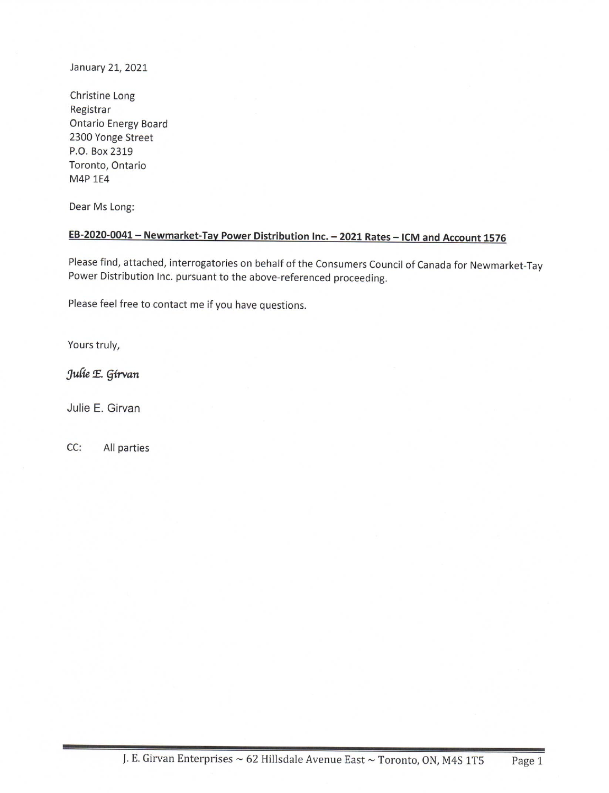January 21, 2021

Christine Long Registrar **Ontario Energy Board** 2300 Yonge Street P.O. Box 2319 Toronto, Ontario M4P 1E4

Dear Ms Long:

# EB-2020-0041 - Newmarket-Tay Power Distribution Inc. - 2021 Rates - ICM and Account 1576

Please find, attached, interrogatories on behalf of the Consumers Council of Canada for Newmarket-Tay Power Distribution Inc. pursuant to the above-referenced proceeding.

Please feel free to contact me if you have questions.

Yours truly,

Julie E. Girvan

Julie E. Girvan

 $CC:$ All parties